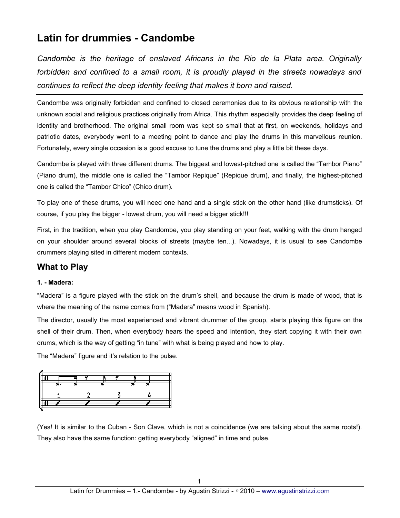# **Latin for drummies - Candombe**

*Candombe is the heritage of enslaved Africans in the Rio de la Plata area. Originally forbidden and confined to a small room, it is proudly played in the streets nowadays and continues to reflect the deep identity feeling that makes it born and raised.*

Candombe was originally forbidden and confined to closed ceremonies due to its obvious relationship with the unknown social and religious practices originally from Africa. This rhythm especially provides the deep feeling of identity and brotherhood. The original small room was kept so small that at first, on weekends, holidays and patriotic dates, everybody went to a meeting point to dance and play the drums in this marvellous reunion. Fortunately, every single occasion is a good excuse to tune the drums and play a little bit these days.

Candombe is played with three different drums. The biggest and lowest-pitched one is called the "Tambor Piano" (Piano drum), the middle one is called the "Tambor Repique" (Repique drum), and finally, the highest-pitched one is called the "Tambor Chico" (Chico drum).

To play one of these drums, you will need one hand and a single stick on the other hand (like drumsticks). Of course, if you play the bigger - lowest drum, you will need a bigger stick!!!

First, in the tradition, when you play Candombe, you play standing on your feet, walking with the drum hanged on your shoulder around several blocks of streets (maybe ten...). Nowadays, it is usual to see Candombe drummers playing sited in different modern contexts.

# **What to Play**

### **1. - Madera:**

"Madera" is a figure played with the stick on the drum's shell, and because the drum is made of wood, that is where the meaning of the name comes from ("Madera" means wood in Spanish).

The director, usually the most experienced and vibrant drummer of the group, starts playing this figure on the shell of their drum. Then, when everybody hears the speed and intention, they start copying it with their own drums, which is the way of getting "in tune" with what is being played and how to play.

The "Madera" figure and it's relation to the pulse.



(Yes! It is similar to the Cuban - Son Clave, which is not a coincidence (we are talking about the same roots!). They also have the same function: getting everybody "aligned" in time and pulse.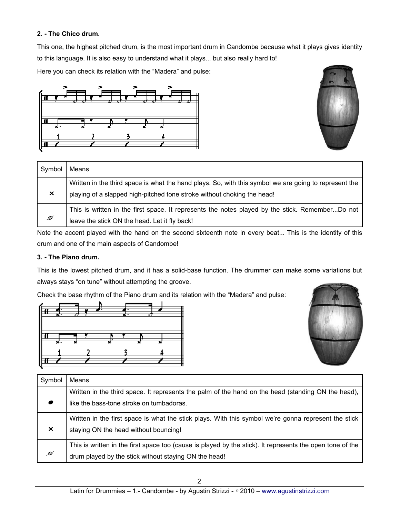## **2. - The Chico drum.**

This one, the highest pitched drum, is the most important drum in Candombe because what it plays gives identity to this language. It is also easy to understand what it plays... but also really hard to!

Here you can check its relation with the "Madera" and pulse:





| Symbol   | Means                                                                                                                                                                            |
|----------|----------------------------------------------------------------------------------------------------------------------------------------------------------------------------------|
| $\times$ | Written in the third space is what the hand plays. So, with this symbol we are going to represent the<br>playing of a slapped high-pitched tone stroke without choking the head! |
| Ø        | This is written in the first space. It represents the notes played by the stick. RememberDo not<br>leave the stick ON the head. Let it fly back!                                 |

Note the accent played with the hand on the second sixteenth note in every beat... This is the identity of this drum and one of the main aspects of Candombe!

## **3. - The Piano drum.**

This is the lowest pitched drum, and it has a solid-base function. The drummer can make some variations but always stays "on tune" without attempting the groove.

Check the base rhythm of the Piano drum and its relation with the "Madera" and pulse:





| Symbol                | Means                                                                                                     |
|-----------------------|-----------------------------------------------------------------------------------------------------------|
|                       | Written in the third space. It represents the palm of the hand on the head (standing ON the head),        |
|                       | like the bass-tone stroke on tumbadoras.                                                                  |
|                       | Written in the first space is what the stick plays. With this symbol we're gonna represent the stick      |
| $\boldsymbol{\times}$ | staying ON the head without bouncing!                                                                     |
|                       | This is written in the first space too (cause is played by the stick). It represents the open tone of the |
| Ø                     | drum played by the stick without staying ON the head!                                                     |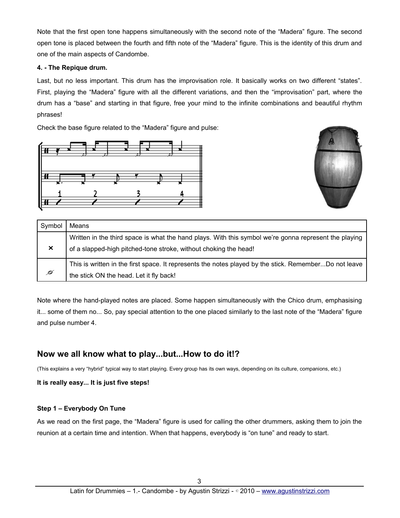Note that the first open tone happens simultaneously with the second note of the "Madera" figure. The second open tone is placed between the fourth and fifth note of the "Madera" figure. This is the identity of this drum and one of the main aspects of Candombe.

#### **4. - The Repique drum.**

Last, but no less important. This drum has the improvisation role. It basically works on two different "states". First, playing the "Madera" figure with all the different variations, and then the "improvisation" part, where the drum has a "base" and starting in that figure, free your mind to the infinite combinations and beautiful rhythm phrases!

Check the base figure related to the "Madera" figure and pulse:





| Symbol                    | Means                                                                                                                                                                     |
|---------------------------|---------------------------------------------------------------------------------------------------------------------------------------------------------------------------|
| $\boldsymbol{\mathsf{x}}$ | Written in the third space is what the hand plays. With this symbol we're gonna represent the playing<br>of a slapped-high pitched-tone stroke, without choking the head! |
| Ø                         | This is written in the first space. It represents the notes played by the stick. RememberDo not leave<br>the stick ON the head. Let it fly back!                          |

Note where the hand-played notes are placed. Some happen simultaneously with the Chico drum, emphasising it... some of them no... So, pay special attention to the one placed similarly to the last note of the "Madera" figure and pulse number 4.

# **Now we all know what to play...but...How to do it!?**

(This explains a very "hybrid" typical way to start playing. Every group has its own ways, depending on its culture, companions, etc.)

**It is really easy... It is just five steps!**

### **Step 1 – Everybody On Tune**

As we read on the first page, the "Madera" figure is used for calling the other drummers, asking them to join the reunion at a certain time and intention. When that happens, everybody is "on tune" and ready to start.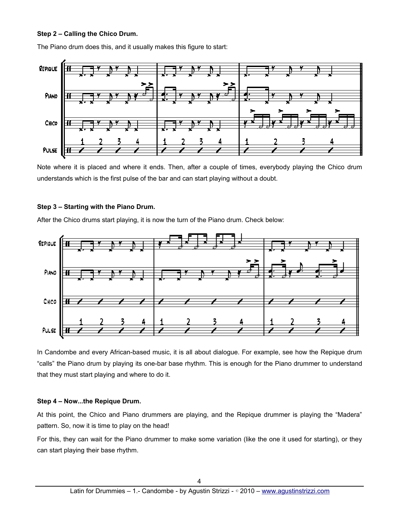#### **Step 2 – Calling the Chico Drum.**

The Piano drum does this, and it usually makes this figure to start:



Note where it is placed and where it ends. Then, after a couple of times, everybody playing the Chico drum understands which is the first pulse of the bar and can start playing without a doubt.

#### **Step 3 – Starting with the Piano Drum.**

After the Chico drums start playing, it is now the turn of the Piano drum. Check below:



In Candombe and every African-based music, it is all about dialogue. For example, see how the Repique drum "calls" the Piano drum by playing its one-bar base rhythm. This is enough for the Piano drummer to understand that they must start playing and where to do it.

#### **Step 4 – Now...the Repique Drum.**

At this point, the Chico and Piano drummers are playing, and the Repique drummer is playing the "Madera" pattern. So, now it is time to play on the head!

For this, they can wait for the Piano drummer to make some variation (like the one it used for starting), or they can start playing their base rhythm.